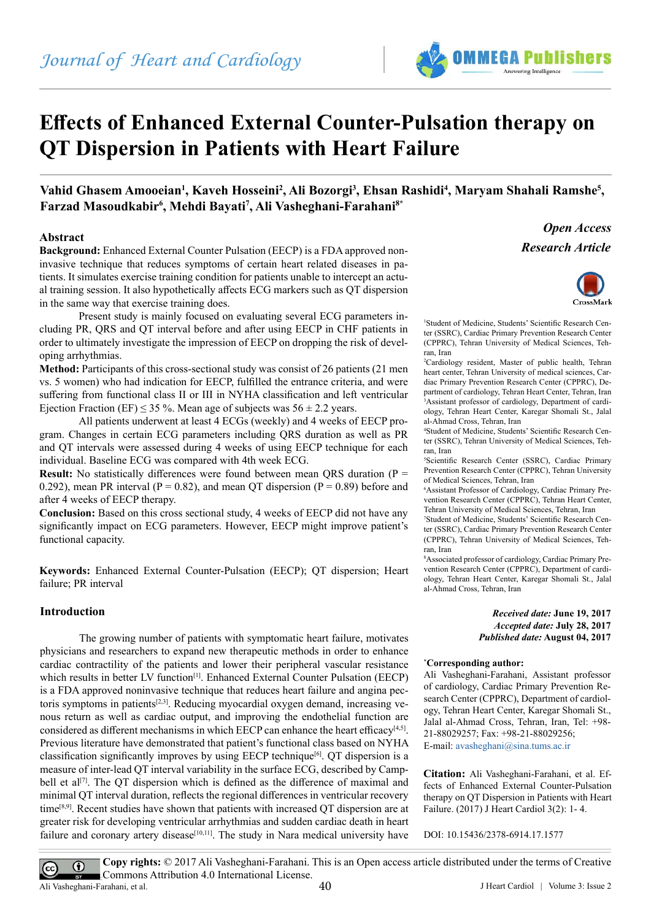# **Effects of Enhanced External Counter-Pulsation therapy on QT Dispersion in Patients with Heart Failure**

Vahid Ghasem Amooeian<sup>1</sup>, Kaveh Hosseini<sup>2</sup>, Ali Bozorgi<sup>3</sup>, Ehsan Rashidi<sup>4</sup>, Maryam Shahali Ramshe<sup>5</sup>, **Farzad Masoudkabir6 , Mehdi Bayati7 , Ali Vasheghani-Farahani8\***

# **Abstract**

**Background:** Enhanced External Counter Pulsation (EECP) is a FDA approved noninvasive technique that reduces symptoms of certain heart related diseases in patients. It simulates exercise training condition for patients unable to intercept an actual training session. It also hypothetically affects ECG markers such as QT dispersion in the same way that exercise training does.

Present study is mainly focused on evaluating several ECG parameters including PR, QRS and QT interval before and after using EECP in CHF patients in order to ultimately investigate the impression of EECP on dropping the risk of developing arrhythmias.

**Method:** Participants of this cross-sectional study was consist of 26 patients (21 men vs. 5 women) who had indication for EECP, fulfilled the entrance criteria, and were suffering from functional class II or III in NYHA classification and left ventricular Ejection Fraction (EF)  $\leq$  35 %. Mean age of subjects was 56  $\pm$  2.2 years.

All patients underwent at least 4 ECGs (weekly) and 4 weeks of EECP program. Changes in certain ECG parameters including QRS duration as well as PR and QT intervals were assessed during 4 weeks of using EECP technique for each individual. Baseline ECG was compared with 4th week ECG.

**Result:** No statistically differences were found between mean QRS duration ( $P =$ 0.292), mean PR interval ( $P = 0.82$ ), and mean QT dispersion ( $P = 0.89$ ) before and after 4 weeks of EECP therapy.

**Conclusion:** Based on this cross sectional study, 4 weeks of EECP did not have any significantly impact on ECG parameters. However, EECP might improve patient's functional capacity.

**Keywords:** Enhanced External Counter-Pulsation (EECP); QT dispersion; Heart failure; PR interval

# **Introduction**

The growing number of patients with symptomatic heart failure, motivates physicians and researchers to expand new therapeutic methods in order to enhance cardiac contractility of the patients and lower their peripheral vascular resistance which results in better LV function<sup>[1]</sup>. Enhanced External Counter Pulsation (EECP) is a FDA approved noninvasive technique that reduces heart failure and angina pectoris symptoms in patients $[2,3]$ . Reducing myocardial oxygen demand, increasing venous return as well as cardiac output, and improving the endothelial function are considered as different mechanisms in which EECP can enhance the heart efficacy<sup>[4,5]</sup>. Previous literature have demonstrated that patient's functional class based on NYHA classification significantly improves by using EECP technique<sup>[6]</sup>. QT dispersion is a measure of inter-lead QT interval variability in the surface ECG, described by Campbell et al<sup>[7]</sup>. The QT dispersion which is defined as the difference of maximal and minimal QT interval duration, reflects the regional differences in ventricular recovery time<sup>[8,9]</sup>. Recent studies have shown that patients with increased QT dispersion are at greater risk for developing ventricular arrhythmias and sudden cardiac death in heart failure and coronary artery disease<sup>[10,11]</sup>. The study in Nara medical university have



*Research Article Open Access*



1 Student of Medicine, Students' Scientific Research Center (SSRC), Cardiac Primary Prevention Research Center (CPPRC), Tehran University of Medical Sciences, Tehran, Iran

2 Cardiology resident, Master of public health, Tehran heart center, Tehran University of medical sciences, Cardiac Primary Prevention Research Center (CPPRC), Department of cardiology, Tehran Heart Center, Tehran, Iran 3 Assistant professor of cardiology, Department of cardiology, Tehran Heart Center, Karegar Shomali St., Jalal al-Ahmad Cross, Tehran, Iran

4 Student of Medicine, Students' Scientific Research Center (SSRC), Tehran University of Medical Sciences, Tehran, Iran

5 Scientific Research Center (SSRC), Cardiac Primary Prevention Research Center (CPPRC), Tehran University of Medical Sciences, Tehran, Iran

6 Assistant Professor of Cardiology, Cardiac Primary Prevention Research Center (CPPRC), Tehran Heart Center, Tehran University of Medical Sciences, Tehran, Iran

7 Student of Medicine, Students' Scientific Research Center (SSRC), Cardiac Primary Prevention Research Center (CPPRC), Tehran University of Medical Sciences, Tehran, Iran

8 Associated professor of cardiology, Cardiac Primary Prevention Research Center (CPPRC), Department of cardiology, Tehran Heart Center, Karegar Shomali St., Jalal al-Ahmad Cross, Tehran, Iran

> *Received date:* **June 19, 2017** *Accepted date:* **July 28, 2017** *Published date:* **August 04, 2017**

#### **\* Corresponding author:**

Ali Vasheghani-Farahani, Assistant professor of cardiology, Cardiac Primary Prevention Research Center (CPPRC), Department of cardiology, Tehran Heart Center, Karegar Shomali St., Jalal al-Ahmad Cross, Tehran, Iran, Tel: +98- 21-88029257; Fax: +98-21-88029256; E-mail: [avasheghani@sina.tums.ac.ir](mailto:avasheghani@sina.tums.ac.ir)

**Citation:** Ali Vasheghani-Farahani, et al. Effects of Enhanced External Counter-Pulsation therapy on QT Dispersion in Patients with Heart Failure. (2017) J Heart Cardiol 3(2): 1- 4.

DOI: [10.15436/2378-6914.17.1577](https://doi.org/10.15436/2378-6914.17.1577)

**Copy rights:** © 2017 Ali Vasheghani-Farahani. This is an Open access article distributed under the terms of Creative  $\odot$  $\left(\mathrm{cc}\right)$ Commons Attribution 4.0 International License. Ali Vasheghani-Farahani, et al.  $\overline{a}$  ali Vasheghani-Farahani, et al.  $\overline{a}$   $\overline{a}$   $\overline{a}$   $\overline{a}$   $\overline{a}$   $\overline{a}$   $\overline{a}$   $\overline{a}$   $\overline{a}$   $\overline{a}$   $\overline{a}$   $\overline{a}$   $\overline{a}$   $\overline{a}$   $\overline{a}$   $\overline{a}$   $\overline{$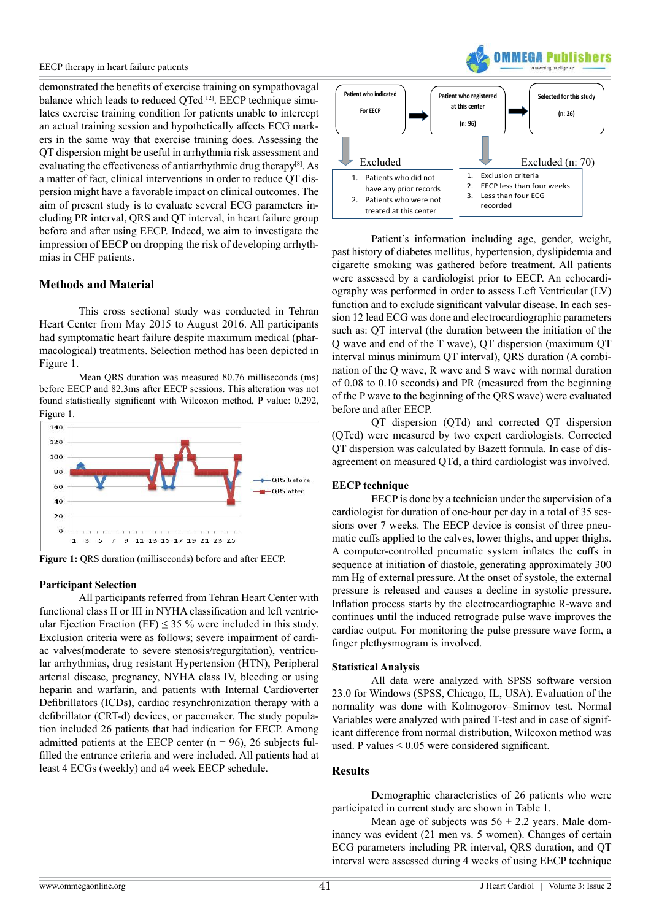demonstrated the benefits of exercise training on sympathovagal balance which leads to reduced QTcd<sup>[12]</sup>. EECP technique simulates exercise training condition for patients unable to intercept an actual training session and hypothetically affects ECG markers in the same way that exercise training does. Assessing the QT dispersion might be useful in arrhythmia risk assessment and evaluating the effectiveness of antiarrhythmic drug therapy[8]. As a matter of fact, clinical interventions in order to reduce QT dispersion might have a favorable impact on clinical outcomes. The aim of present study is to evaluate several ECG parameters including PR interval, QRS and QT interval, in heart failure group before and after using EECP. Indeed, we aim to investigate the impression of EECP on dropping the risk of developing arrhythmias in CHF patients.

# **Methods and Material**

This cross sectional study was conducted in Tehran Heart Center from May 2015 to August 2016. All participants had symptomatic heart failure despite maximum medical (pharmacological) treatments. Selection method has been depicted in Figure 1.

Mean QRS duration was measured 80.76 milliseconds (ms) before EECP and 82.3ms after EECP sessions. This alteration was not found statistically significant with Wilcoxon method, P value: 0.292, Figure 1.



**Figure 1:** QRS duration (milliseconds) before and after EECP.

#### **Participant Selection**

All participants referred from Tehran Heart Center with functional class II or III in NYHA classification and left ventricular Ejection Fraction (EF)  $\leq$  35 % were included in this study. Exclusion criteria were as follows; severe impairment of cardiac valves(moderate to severe stenosis/regurgitation), ventricular arrhythmias, drug resistant Hypertension (HTN), Peripheral arterial disease, pregnancy, NYHA class IV, bleeding or using heparin and warfarin, and patients with Internal Cardioverter Defibrillators (ICDs), cardiac resynchronization therapy with a defibrillator (CRT-d) devices, or pacemaker. The study population included 26 patients that had indication for EECP. Among admitted patients at the EECP center  $(n = 96)$ , 26 subjects fulfilled the entrance criteria and were included. All patients had at least 4 ECGs (weekly) and a4 week EECP schedule.



3. Less than four ECG recorded

Patient's information including age, gender, weight, past history of diabetes mellitus, hypertension, dyslipidemia and cigarette smoking was gathered before treatment. All patients were assessed by a cardiologist prior to EECP. An echocardiography was performed in order to assess Left Ventricular (LV) function and to exclude significant valvular disease. In each session 12 lead ECG was done and electrocardiographic parameters such as: QT interval (the duration between the initiation of the Q wave and end of the T wave), QT dispersion (maximum QT interval minus minimum QT interval), QRS duration (A combination of the Q wave, R wave and S wave with normal duration of 0.08 to 0.10 seconds) and PR (measured from the beginning of the P wave to the beginning of the QRS wave) were evaluated before and after EECP.

1

QT dispersion (QTd) and corrected QT dispersion (QTcd) were measured by two expert cardiologists. Corrected QT dispersion was calculated by Bazett formula. In case of disagreement on measured QTd, a third cardiologist was involved.

# **EECP technique**

2. Patients who were not treated at this center

EECP is done by a technician under the supervision of a cardiologist for duration of one-hour per day in a total of 35 sessions over 7 weeks. The EECP device is consist of three pneumatic cuffs applied to the calves, lower thighs, and upper thighs. A computer-controlled pneumatic system inflates the cuffs in sequence at initiation of diastole, generating approximately 300 mm Hg of external pressure. At the onset of systole, the external pressure is released and causes a decline in systolic pressure. Inflation process starts by the electrocardiographic R-wave and continues until the induced retrograde pulse wave improves the cardiac output. For monitoring the pulse pressure wave form, a finger plethysmogram is involved.

#### **Statistical Analysis**

All data were analyzed with SPSS software version 23.0 for Windows (SPSS, Chicago, IL, USA). Evaluation of the normality was done with Kolmogorov–Smirnov test. Normal Variables were analyzed with paired T-test and in case of significant difference from normal distribution, Wilcoxon method was used. P values < 0.05 were considered significant.

# **Results**

Demographic characteristics of 26 patients who were participated in current study are shown in Table 1.

Mean age of subjects was  $56 \pm 2.2$  years. Male dominancy was evident (21 men vs. 5 women). Changes of certain ECG parameters including PR interval, QRS duration, and QT interval were assessed during 4 weeks of using EECP technique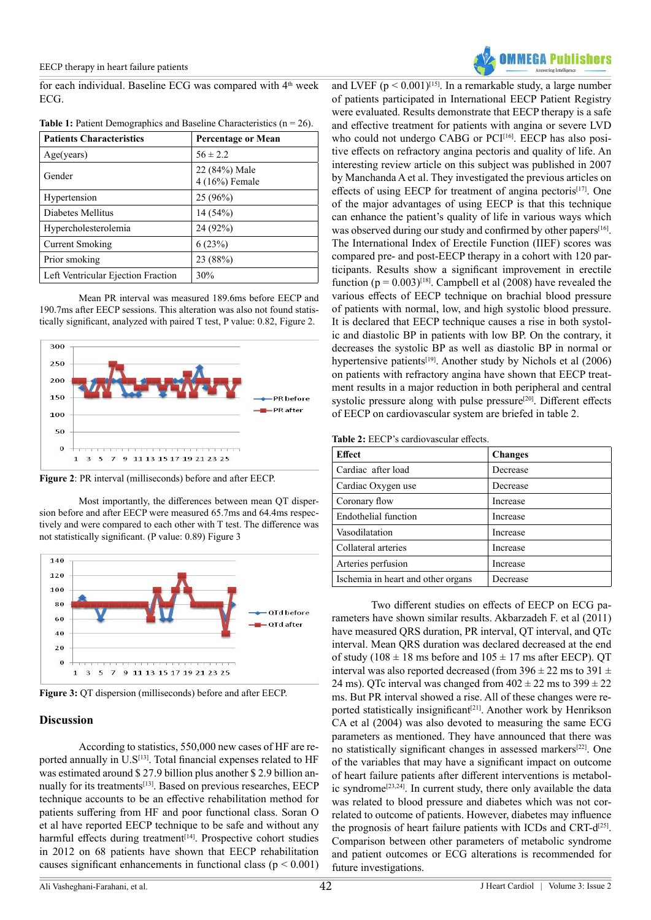for each individual. Baseline ECG was compared with 4<sup>th</sup> week ECG.

| <b>Patients Characteristics</b>    | <b>Percentage or Mean</b>       |
|------------------------------------|---------------------------------|
| Age(years)                         | $56 \pm 2.2$                    |
| Gender                             | 22 (84%) Male<br>4 (16%) Female |
| Hypertension                       | $25(96\%)$                      |
| Diabetes Mellitus                  | 14(54%)                         |
| Hypercholesterolemia               | 24 (92%)                        |
| Current Smoking                    | 6(23%)                          |
| Prior smoking                      | 23 (88%)                        |
| Left Ventricular Ejection Fraction | 30%                             |

**Table 1:** Patient Demographics and Baseline Characteristics  $(n = 26)$ .

Mean PR interval was measured 189.6ms before EECP and 190.7ms after EECP sessions. This alteration was also not found statistically significant, analyzed with paired T test, P value: 0.82, Figure 2.



**Figure 2**: PR interval (milliseconds) before and after EECP.

Most importantly, the differences between mean QT dispersion before and after EECP were measured 65.7ms and 64.4ms respectively and were compared to each other with T test. The difference was not statistically significant. (P value: 0.89) Figure 3



**Figure 3:** QT dispersion (milliseconds) before and after EECP.

# **Discussion**

According to statistics, 550,000 new cases of HF are reported annually in U.S<sup>[13]</sup>. Total financial expenses related to HF was estimated around \$ 27.9 billion plus another \$ 2.9 billion annually for its treatments<sup>[13]</sup>. Based on previous researches, EECP technique accounts to be an effective rehabilitation method for patients suffering from HF and poor functional class. Soran O et al have reported EECP technique to be safe and without any harmful effects during treatment<sup>[14]</sup>. Prospective cohort studies in 2012 on 68 patients have shown that EECP rehabilitation causes significant enhancements in functional class ( $p < 0.001$ )



and LVEF ( $p \le 0.001$ )<sup>[15]</sup>. In a remarkable study, a large number of patients participated in International EECP Patient Registry were evaluated. Results demonstrate that EECP therapy is a safe and effective treatment for patients with angina or severe LVD who could not undergo CABG or PCI[16]. EECP has also positive effects on refractory angina pectoris and quality of life. An interesting review article on this subject was published in 2007 by Manchanda A et al. They investigated the previous articles on effects of using EECP for treatment of angina pectoris<sup>[17]</sup>. One of the major advantages of using EECP is that this technique can enhance the patient's quality of life in various ways which was observed during our study and confirmed by other papers<sup>[16]</sup>. The International Index of Erectile Function (IIEF) scores was compared pre- and post-EECP therapy in a cohort with 120 participants. Results show a significant improvement in erectile function ( $p = 0.003$ )<sup>[18]</sup>. Campbell et al (2008) have revealed the various effects of EECP technique on brachial blood pressure of patients with normal, low, and high systolic blood pressure. It is declared that EECP technique causes a rise in both systolic and diastolic BP in patients with low BP. On the contrary, it decreases the systolic BP as well as diastolic BP in normal or hypertensive patients<sup>[19]</sup>. Another study by Nichols et al (2006) on patients with refractory angina have shown that EECP treatment results in a major reduction in both peripheral and central systolic pressure along with pulse pressure<sup>[20]</sup>. Different effects of EECP on cardiovascular system are briefed in table 2.

**Table 2:** EECP's cardiovascular effects.

| <b>Effect</b>                      | <b>Changes</b> |
|------------------------------------|----------------|
| Cardiac after load                 | Decrease       |
| Cardiac Oxygen use                 | Decrease       |
| Coronary flow                      | Increase       |
| Endothelial function               | Increase       |
| Vasodilatation                     | Increase       |
| Collateral arteries                | Increase       |
| Arteries perfusion                 | Increase       |
| Ischemia in heart and other organs | Decrease       |

Two different studies on effects of EECP on ECG parameters have shown similar results. Akbarzadeh F. et al (2011) have measured QRS duration, PR interval, QT interval, and QTc interval. Mean QRS duration was declared decreased at the end of study (108  $\pm$  18 ms before and 105  $\pm$  17 ms after EECP). QT interval was also reported decreased (from  $396 \pm 22$  ms to  $391 \pm$ 24 ms). QTc interval was changed from  $402 \pm 22$  ms to  $399 \pm 22$ ms. But PR interval showed a rise. All of these changes were reported statistically insignificant<sup>[21]</sup>. Another work by Henrikson CA et al (2004) was also devoted to measuring the same ECG parameters as mentioned. They have announced that there was no statistically significant changes in assessed markers[22]. One of the variables that may have a significant impact on outcome of heart failure patients after different interventions is metabolic syndrome<sup>[23,24]</sup>. In current study, there only available the data was related to blood pressure and diabetes which was not correlated to outcome of patients. However, diabetes may influence the prognosis of heart failure patients with ICDs and CRT-d[25]. Comparison between other parameters of metabolic syndrome and patient outcomes or ECG alterations is recommended for future investigations.